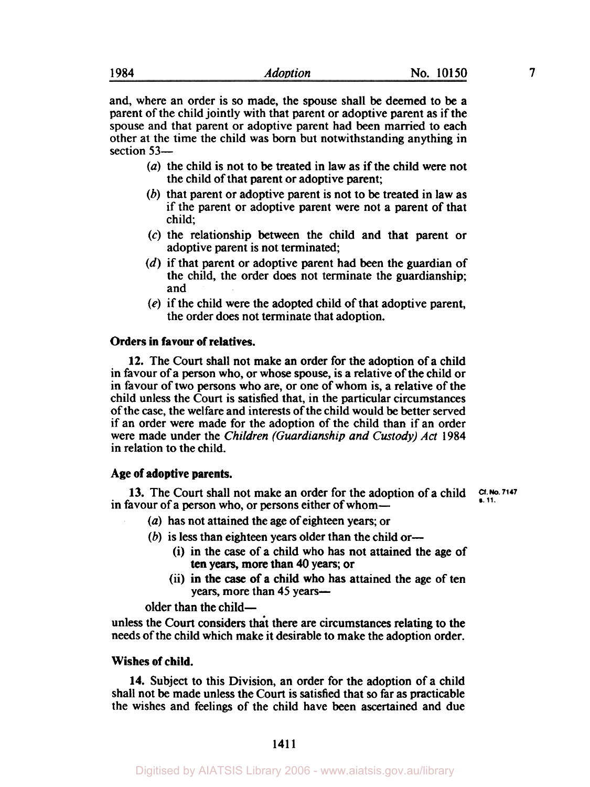and, where an order is **so** made, the spouse shall be deemed to be a parent of the child jointly with that parent or adoptive parent as if the spouse and that parent or adoptive parent had been married to each other at the time the child was **born** but notwithstanding anything in section 53-

- *(a)* the child is not to be treated in law as if the child were not the child of that parent or adoptive parent;
- (b) that parent or adoptive parent is not to be treated in law as if the parent or adoptive parent were not a parent of that child;
- (c) the relationship between the child and that parent or adoptive parent is not terminated:
- (d) if that parent or adoptive parent had been the guardian of the child, the order does not terminate the guardianship; and
- (e) if the child were the adopted child of that adoptive parent, the order does not terminate that adoption.

# **Orders in favour of relatives.**

**12.** The Court shall not make an order for the adoption of a child in favour of a person who, or whose **spouse,** is a relative of the child or in favour of two persons who are, or one of whom is, a relative of the child unless the Court is satisfied that, in the particular circumstances of the case, the welfare and interests of the child would be better served if an order were made for the adoption of the child than if an order were made under the *Children (Guardianship and Custody) Act* 1984 in relation to the child.

## **Age of adoptive parents.**

in favour of a person who, or persons either of whom-**13.** The Court shall not make an order for the adoption of a child **Cf. No. 7147** 

- *(a)* has not attained the age of eighteen years; or
- (b) is less than eighteen years older than the child or-
	- (i) in the case of a child who has not attained the age of ten years, more than 40 years; or
	- (ii) in the case of a child who has attained the age of ten years, more than 45 years—

older than the child-

unless the Court considers that there are circumstances relating to the needs of the child which make it desirable to make the adoption order.

## **Wishes of child.**

**14.** Subject to this Division, an order for the adoption of a child shall not be made unless the Court is satisfied that *so* far as practicable the wishes and feelings of the child have been ascertained and due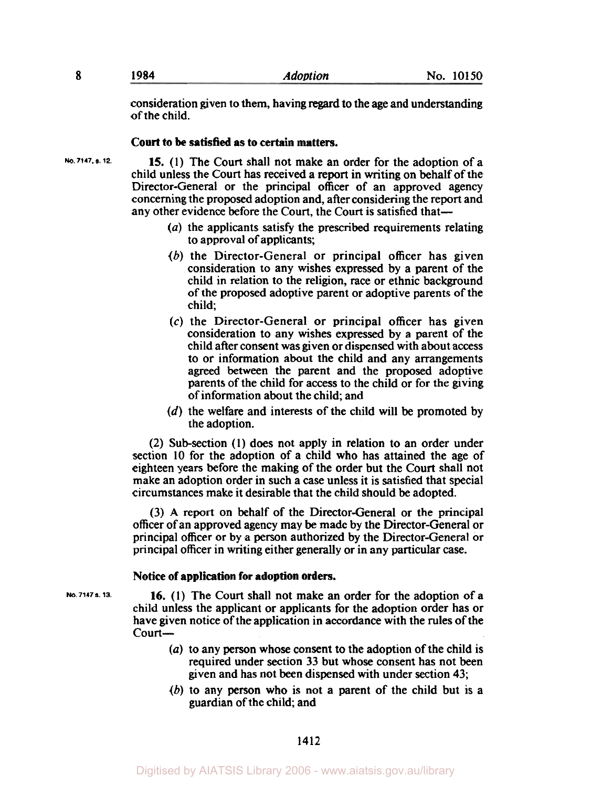consideration given to them, having regard to the age and understanding of the child.

## **Court to be satisfied as to certain matters.**

**15.** (1) The Court shall not make an order for the adoption of a child unless the Court has received a report in writing on behalf of the Director-General or the principal officer of an approved agency concerning the proposed adoption and, after considering the report and any other evidence before the Court, the Court is satisfied that-

- *(a)* the applicants satisfy the prescribed requirements relating to approval of applicants;
- $(b)$  the Director-General or principal officer has given consideration to any wishes expressed by a parent of the child in relation to the religion, race or ethnic background of the proposed adoptive parent or adoptive parents of the child;
- *(c)* the Director-General or principal officer has given consideration to any wishes expressed by a parent of the child after consent was given or dispensed with about access to or information about the child and any arrangements agreed between the parent and the proposed adoptive parents of the child for access to the child or for the giving of information about the child; and
- (d) the welfare and interests of the child will be promoted by the adoption.

(2) Subsection (1) does not apply in relation to an order under section 10 for the adoption of a child who has attained the age of eighteen years before the making of the order but the Court shall not make an adoption order in such a case unless it is satisfied that special circumstances make it desirable that the child should be adopted.

(3) **A** report on behalf of the Director-General or the principal officer of an approved agency may be made by the Director-General or principal officer or by **a** person authorized by the Director-General or principal officer in writing either generally or in any particular case.

## **Notice of application for adoption orders.**

**16.** (1) The Court shall not make an order for the adoption of a child unless the applicant or applicants for the adoption order has or have given notice of the application in accordance with the rules of the court-

- *(a)* to any person whose consent to the adoption of the child is required under section 33 but whose consent has not been given and has not been dispensed with under section 43;
- (b) to any person who is not a parent of the child but is a guardian of the child; and

**No. 7147. S. 12.** 

**No. 7147 a. 13.**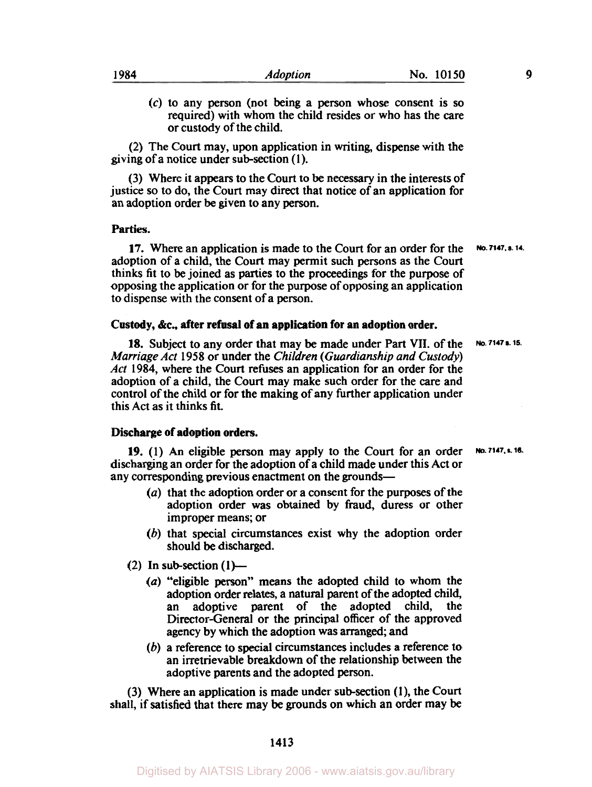*(c)* to any person (not being a person whose consent is **so**  required) with whom the child resides or who has the care or custody of the child.

(2) The Court may, upon application in writing, dispense with the giving of a notice under subsection **(1).** 

(3) Where it appears to the Court to be **necessary** in the interests of justice **so** to do, the Court may direct that notice of an application for an adoption order be given to any person.

## **Parties.**

**17.** Where an application is made to the Court for an order for the **No. 7147. s. 14.**  adoption of a child, the Court may permit such persons as the Court thinks fit to be joined as parties to the proceedings for the purpose of opposing the application or for the purpose of opposing an application to dispense with the consent of a person.

#### **Custody, &c, after refusal of an application for an adoption order.**

**18.** Subject to any order that may be made under Part VII. of the **No. 7147 s. 15.**  *Marriage Act* **1958** or under the *Children (Guardianship and Custody) Act* **1984,** where the Court refuses an application for an order for the adoption of a child, the Court may make such order for the care and control of the child or for the making of any further application under this Act as it thinks fit.

## **Discharge of adoption orders.**

**19. (1)** An eligible person may apply to the Court for an order discharging an order for the adoption of a child made under this Act or any corresponding previous enactment **on** the grounds-

- *(a)* that the adoption order or a consent for the purposes of the adoption order was obtained by fraud, duress or other improper means; or
- *(b)* that special circumstances exist why the adoption order should be discharged.
- $(2)$  In sub-section  $(1)$ 
	- *(a)* ''eligible person" **means** the adopted child to whom the adoption order relates, a natural parent of the adopted child, an adoptive parent of the adopted child, Director-General or the principal officer of the approved agency by which the adoption was arranged; and
	- *(b)* a reference to special circumstances includes a reference to an irretrievable breakdown of the relationship between the adoptive parents and the adopted person.

(3) Where an application is made under subsection ( **1** ), the Court shall, if satisfied that there may be grounds **on** which an order may be

**1413** 

**No. 7147. s. 16.**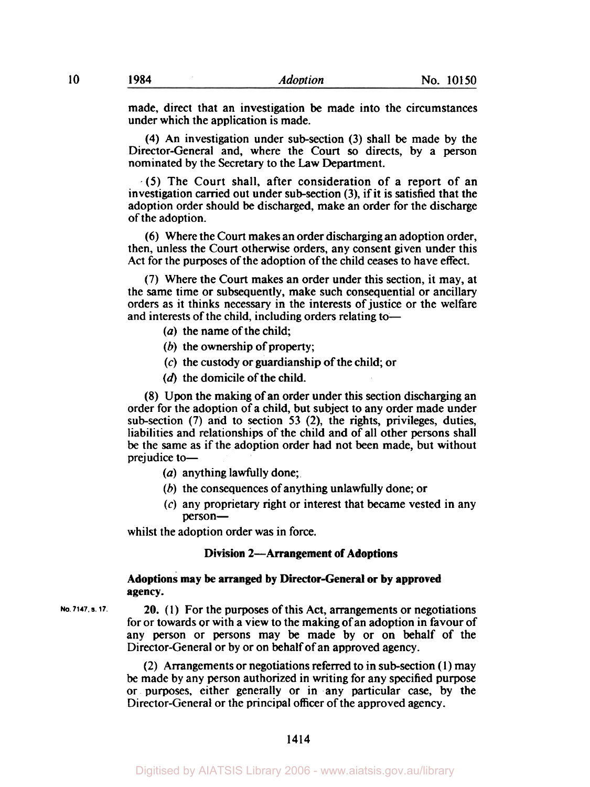made, direct that an investigation be made into the circumstances

under which the application is made. **(4)** An investigation under subsection (3) shall be made by the

Director-General and, where the Court *so* directs, by a person nominated by the Secretary to the **Law** Department.

*(5)* The Court shall, after consideration of a report of an investigation carried out under sub-section (3), if it is satisfied that the adoption order should be discharged, make an order for the discharge of the adoption.

(6) Where the Court makes an order discharging an adoption order, then, unless the Court otherwise orders, any consent given under this Act for the purposes of the adoption of the child ceases to have effect.

(7) Where the Court makes an order under this section, it may, at the same time or subsequently, make such consequential or ancillary orders as it thinks necessary in the interests of justice or the welfare and interests of the child, including orders relating to-

- (a) the name of the child;
- (b) the ownership of property;
- (c) the custody or guardianship of the child; or
- **(d)** the domicile of the child.

(8) Upon the making of an order under this section discharging an order for the adoption of a child, but subject to any order made under subsection (7) and to section **53** (2), the rights, privileges, duties, liabilities and relationships of the child and of all other persons shall be the same as if the adoption order had not been made, but without prejudice to-

- (a) anything lawfully done;
- (b) the consequences of anything unlawfully done; or
- (c) any proprietary right or interest that became vested in any person-

whilst the adoption order was in force.

#### **Division 2-Arrangement of Adoptions**

### **Adoptions may be arranged by Director-General or by approved agency.**

**No.7147. S. 17.** 

20. **(1)** For the purposes of this Act, arrangements or negotiations for or towards or with a view to the making of an adoption in favour of any person or persons may be made by or on behalf of the Director-General or by or on behalf of an approved agency.

(2) Arrangements or negotiations referred to in subsection **(1)** may **be** made by any person authorized in writing for any specified purpose or purposes, either generally or in any particular case, by the Director-General or the principal officer of the approved agency.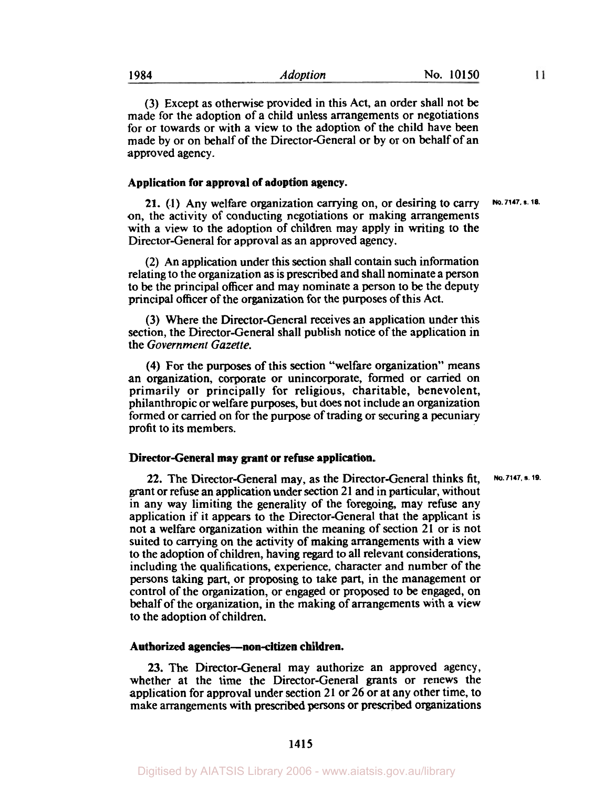| 1984 | Adoption | No. 10150 |
|------|----------|-----------|
|      |          |           |

 $11$ 

(3) Except as otherwise provided in this Act, an order shall not be made for the adoption of a child unless arrangements or negotiations for or towards or with a view to the adoption of the child have been made by or on behalf of the Director-General or by or on behalf of an approved agency.

## **Application for approval of adoption agency.**

**21. (1)** Any welfare organization carrying on, or desiring to carry on, the activity of conducting negotiations or making arrangements with a view to the adoption of children may apply in writing to the Director-General for approval as an approved agency. **No. 7147. s. 18.** 

(2) An application under this section shall contain such information relating to the organization as is prescribed and shall nominate a person to be the principal officer and may nominate a person to be the deputy principal officer of the organization for the purposes of this Act.

(3) Where the Director-General receives an application under this section, the Director-General shall publish notice of the application in the *Government Gazette.* 

**(4)** For the purposes of this section "welfare organization" means an organization, corporate or unincorporate, formed or carried on primarily or principally for religious, charitable, benevolent, philanthropic or welfare purposes, but does not include an organization formed or carried on for the purpose of trading or securing a pecuniary profit to its members.

## **Director-General may grant or refuse application.**

**22.** The Director-General may, as the Director-General thinks fit, grant or refuse an application under section 21 and in particular, without in any way limiting the generality of the foregoing, may refuse any application if it appears to the Director-General that the applicant is not a welfare organization within the meaning of section 21 or is not suited to carrying on the activity of making arrangements with a view to the adoption of children, having regard to all relevant considerations, including the qualifications, experience, character and number of the persons taking part, or proposing to take part, in the management or control of the organization, or engaged or proposed to be engaged, on behalf of the organization, in the making of arrangements with a view to the adoption of children. **No. 7147. s. 19.** 

#### **Authorized agencies-non-citizen children.**

**23.** The Director-General may authorize an approved agency, whether at the time the Director-General grants or renews the application for approval under section 21 or 26 or at any other time, to make arrangements with prescribed persons or prescribed organizations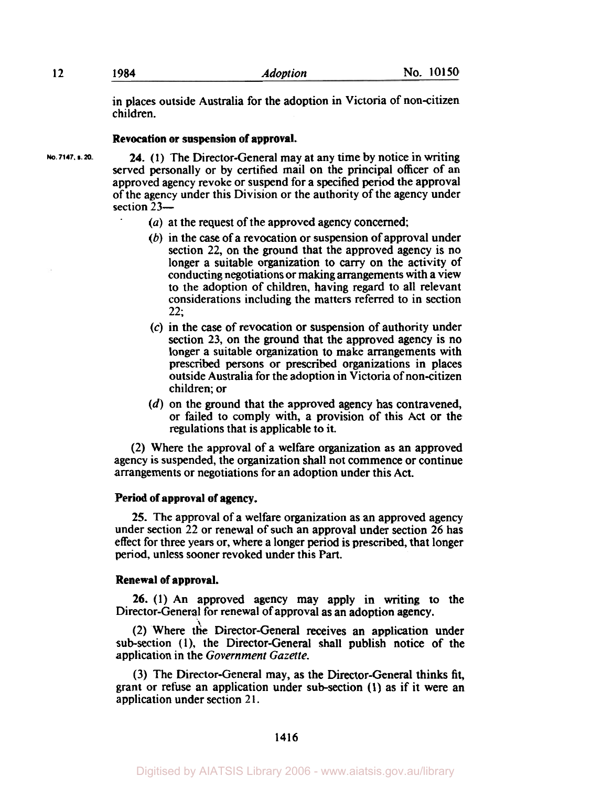in places outside Australia for the adoption in Victoria of non-citizen children.

#### **Revocation or suspension of approval.**

**No. 7147. s. 20.** 

**24. (1)** The Director-General may at any time by notice in writing served personally or by certified mail on the principal officer of an approved agency revoke or suspend for a specified period the approval of the agency under this Division or the authority of the agency under section 23-

- *(a)* at the request of the approved agency concerned;
- (b) in the *case* of a revocation or suspension of approval under section **22,** on the ground that the approved agency is no longer a suitable organization to **carry** on the activity of conducting negotiations or making arrangements with a view to the adoption of children, having regard to all relevant considerations including the matters referred to in section **22;**
- (c) in the case of revocation or suspension of authority under section **23,** on the ground that the approved agency is no longer a suitable organization to make arrangements with prescribed persons or prescribed organizations in places outside Australia for the adoption in Victoria of non-citizen children; or
- *(d)* on the ground that the approved agency has contravened, or failed to comply with, a provision of this Act or the regulations that is applicable to it.

**(2)** Where the approval of a welfare organization as an approved agency is suspended, the organization shall not commence or continue arrangements or negotiations for an adoption under this Act.

## **Period of approval of agency.**

**25.** The approval of a welfare organization as an approved agency under section **22** or renewal of such an approval under section 26 has effect for three years or, where a longer period is prescribed, that longer period, unless sooner revoked under this Part.

## **Renewal of approval.**

**26. (1)** An approved agency may apply in writing to the Director-General for renewal of approval as an adoption agency.

(2) Where the Director-General receives an application under sub-section (1), the Director-General shall publish notice of the application in the *Government Gazette.* 

(3) The Director-General may, as the Director-General thinks fit, grant or refuse an application under subsection **(1)** as if it were an application under section **2** 1.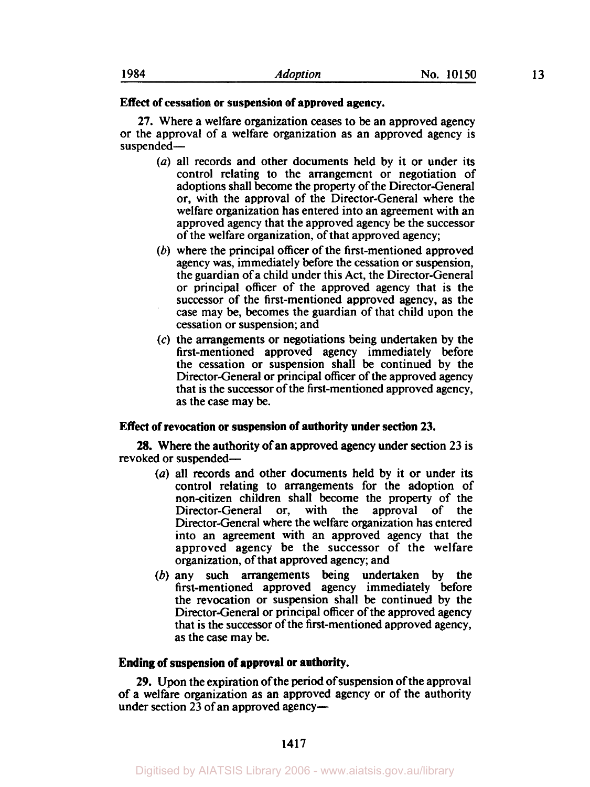#### **Effect of cessation or suspension of approved agency.**

**27.** Where a welfare organization ceases to be an approved agency or the approval of a welfare organization as an approved agency is suspended-

- *(a)* all records and other documents held by it or under its control relating to the arrangement or negotiation of adoptions shall become the property of the Director-General or, with the approval of the Director-General where the welfare organization has entered into an agreement with an approved agency that the approved agency be the successor of the welfare organization, of that approved agency;
- *(b)* where the principal officer of the first-mentioned approved agency was, immediately before the cessation or suspension, the guardian of a child under this Act, the Director-General or principal officer of the approved agency that is the successor of the first-mentioned approved agency, as the case may be, becomes the guardian of that child upon the cessation or suspension; and
- (c) the arrangements or negotiations being undertaken by the first-mentioned approved agency immediately before the cessation or suspension shall be continued by the Director-General or principal officer of the approved agency that is the successor of the first-mentioned approved agency, as the case may be.

### **Effect of revocation or suspension of authority under section 23.**

revoked **or** suspended-**28.** Where the authority of an approved agency under section 23 is

- *(a)* all records and other documents held **by** it or under its control relating to arrangements for the adoption of non-citizen children shall become the property of the Director-General or, Director-General where the welfare organization has entered into an agreement with an approved agency that the approved agency be the successor of the welfare organization, of that approved agency; and
- *(b)* any such arrangements being undertaken by the first-mentioned approved agency immediately before the revocation or suspension shall be continued by the Director-General or principal officer of the approved agency that is the successor of the first-mentioned approved agency, as the *case* may be.

# **Ending of suspension of approval or authority.**

*29.* Upon the expiration of the period of suspension of the approval of a welfare organization as an approved agency or of the authority under section  $2\overline{3}$  of an approved agency-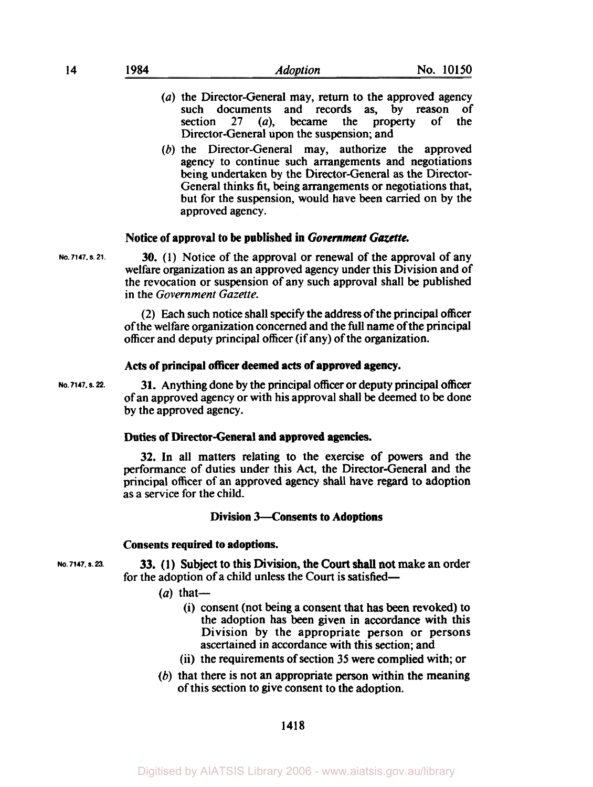- *(a)* the Director-General may, return to the approved agency such documents and records as, by reason of section 27 *(a),* became the property of the Director-General upon the suspension; and
- (b) the Director-General may, authorize the approved agency to continue such arrangements and negotiations being undertaken by the Director-General as the Director-General thinks fit, being arrangements or negotiations that, but for the suspension, would have been camed on by the approved agency.

## Notice of approval **to be** published in *Government Gazette.*

**No. 7147. S. 21.** 

30. **(1)** Notice of the approval or renewal of the approval of any welfare organization as an approved agency under this Division and of the revocation or suspension of any such approval shall be published in the *Government Gazette.* 

(2) Each such notice shall specify the address of the principal officer of the welfare organization concerned and the full name of the principal officer and deputy principal officer (if any) of the organization.

#### **Acts** of principal officer deemed acts of approved agency.

**No. 7147. S.** *22.* 

**31.** Anything done by the principal officer or deputy principal officer of an approved agency or with his approval shall be deemed to be done by the approved agency.

## **Duties** of Director-General and approved agencies.

**32.** In all matters relating to the exercise of powers and the performance of duties under this Act, the Director-General and the principal officer of an approved agency shall have regard to adoption as a service for the child.

## Division 3-Consents **to** Adoptions

#### Consents **required to** adoptions.

for the adoption of a child unless the Court is satisfied-**No. 7147. S. 23.** 33. (I) Subject to this Division, the Court shall not make an order

- $(a)$  that-
	- (i) consent (not being a consent that has been revoked) to the adoption has been given in accordance with this Division by the appropriate person or persons ascertained in accordance with this section; and
	- (ii) the requirements of section **35** were complied with; or
- $(b)$  that there is not an appropriate person within the meaning of this section to give consent to the adoption.

**1418**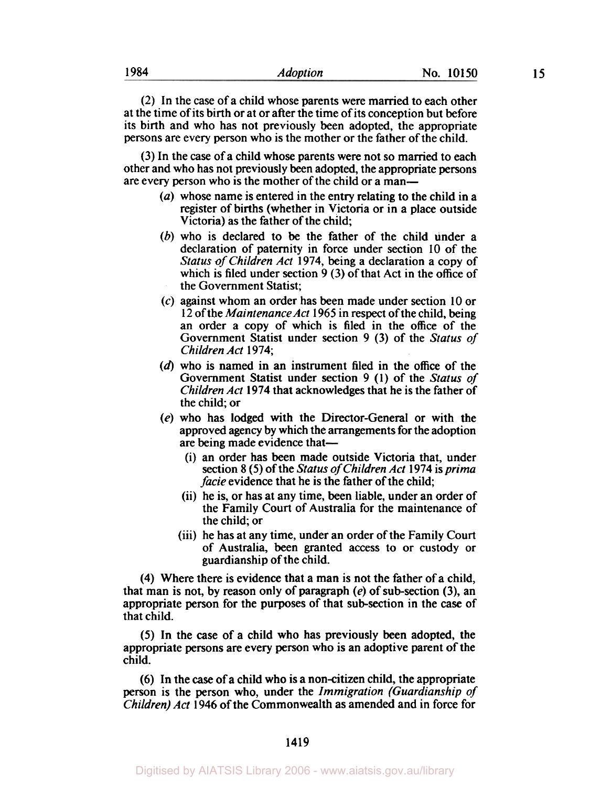(2) In the case of a child whose parents were married to each other at the time of its birth or at or after the time of its conception but before its birth and who has not previously been adopted, the appropriate persons are every person who is the mother or the father of the child.

(3) In the *case* of a child whose parents were not **so** married to each other and who has not previously been adopted, the appropriate persons are every person who is the mother of the child or a man-

- *(a)* whose name is entered in the entry relating to the child in a register of births (whether in Victoria or in a place outside Victoria) as the father of the child;
- (b) who is declared to be the father of the child under a declaration of paternity in force under section **10** of the *Status of Children Act* **1974,** being a declaration a copy of which is filed under section **9** (3) of that Act in the office of the Government Statist;
- **(c)** against whom an order has been made under section 10 or 12 of the *Maintenance* Act **1965** in respect of the child, being an order a copy of which is filed in the office of the Government Statist under section **9** (3) of the *Status of Children Act* **1974;**
- **(d)** who is named in an instrument filed in the office of the Government Statist under section **9 (1)** of the *Status of Children Act* **1974** that acknowledges that he is the father of the child; or
- *(e)* who has lodged with the Director-General or with the approved agency by which the arrangements for the adoption are being made evidence that-
	- (i) an order has been made outside Victoria that, under section 8 *(5)* of the *Status of Children Act* **1974** is *prima facie* evidence that he is the father of the child;
	- (ii) he is, or has at any time, been liable, under an order of the Family Court of Australia for the maintenance of the child; or
	- (iii) he has at any time, under an order of the Family Court of Australia, been granted access to or custody or guardianship of the child.

**(4)** Where there is evidence that a man is not the father of a child, that man is not, by reason only of paragraph *(e)* of sub-section **(3),** an appropriate person for the purposes of that sub-section in the case of that child.

*(5)* In the *case* of **a** child who has previously been adopted, the appropriate persons are every person who is an adoptive parent of the child.

**(6)** In the *case* of a child who is a non-citizen child, the appropriate person is the person who, under the *Immigration (Guardianship of Children) Act* **1946** of the Commonwealth **as** amended and in force for